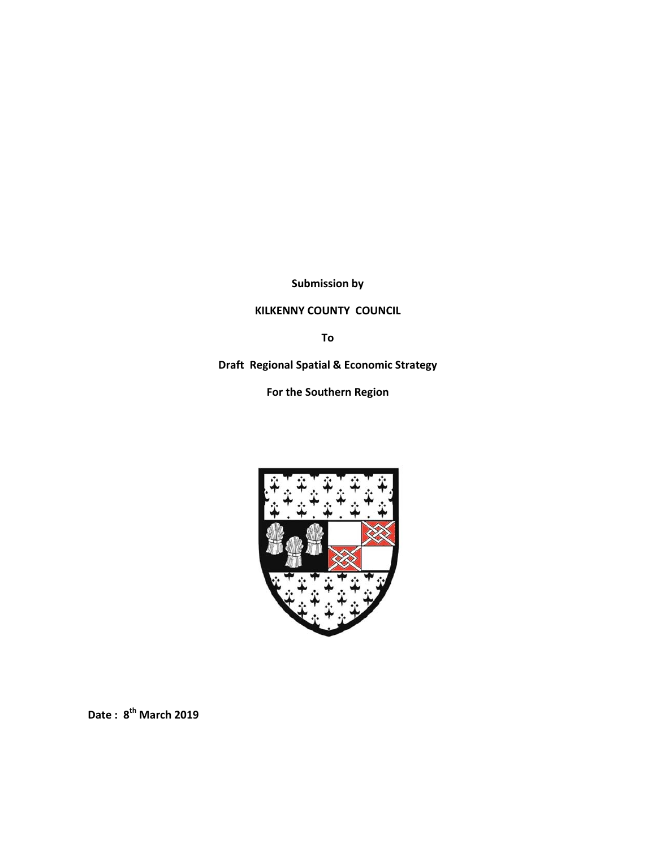**Submission by** 

## **KILKENNY COUNTY COUNCIL**

**To**

**Draft Regional Spatial & Economic Strategy** 

**For the Southern Region**



**Date : 8th March 2019**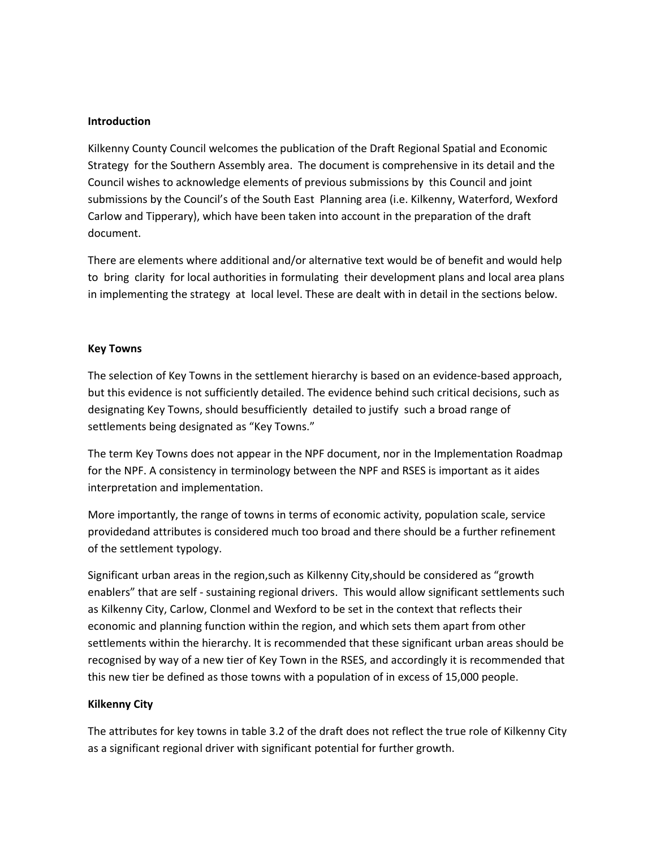### **Introduction**

Kilkenny County Council welcomes the publication of the Draft Regional Spatial and Economic Strategy for the Southern Assembly area. The document is comprehensive in its detail and the Council wishes to acknowledge elements of previous submissions by this Council and joint submissions by the Council's of the South East Planning area (i.e. Kilkenny, Waterford, Wexford Carlow and Tipperary), which have been taken into account in the preparation of the draft document.

There are elements where additional and/or alternative text would be of benefit and would help to bring clarity for local authorities in formulating their development plans and local area plans in implementing the strategy at local level. These are dealt with in detail in the sections below.

### **Key Towns**

The selection of Key Towns in the settlement hierarchy is based on an evidence‐based approach, but this evidence is not sufficiently detailed. The evidence behind such critical decisions, such as designating Key Towns, should besufficiently detailed to justify such a broad range of settlements being designated as "Key Towns."

The term Key Towns does not appear in the NPF document, nor in the Implementation Roadmap for the NPF. A consistency in terminology between the NPF and RSES is important as it aides interpretation and implementation.

More importantly, the range of towns in terms of economic activity, population scale, service providedand attributes is considered much too broad and there should be a further refinement of the settlement typology.

Significant urban areas in the region,such as Kilkenny City,should be considered as "growth enablers" that are self - sustaining regional drivers. This would allow significant settlements such as Kilkenny City, Carlow, Clonmel and Wexford to be set in the context that reflects their economic and planning function within the region, and which sets them apart from other settlements within the hierarchy. It is recommended that these significant urban areas should be recognised by way of a new tier of Key Town in the RSES, and accordingly it is recommended that this new tier be defined as those towns with a population of in excess of 15,000 people.

### **Kilkenny City**

The attributes for key towns in table 3.2 of the draft does not reflect the true role of Kilkenny City as a significant regional driver with significant potential for further growth.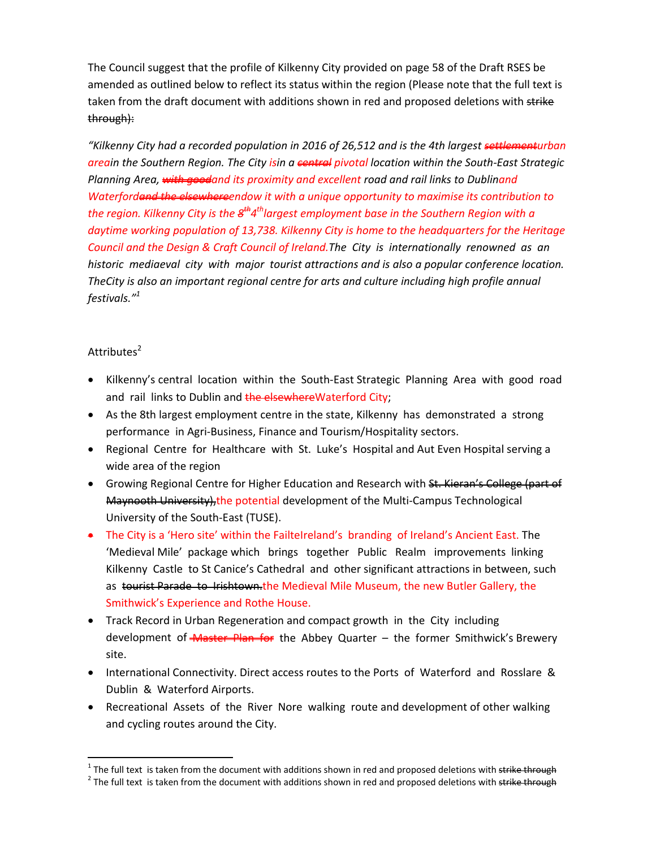The Council suggest that the profile of Kilkenny City provided on page 58 of the Draft RSES be amended as outlined below to reflect its status within the region (Please note that the full text is taken from the draft document with additions shown in red and proposed deletions with strike through):

*"Kilkenny City had a recorded population in 2016 of 26,512 and is the 4th largest settlementurban areain the Southern Region. The City isin a central pivotal location within the South‐East Strategic Planning Area, with goodand its proximity and excellent road and rail links to Dublinand Waterfordand the elsewhereendow it with a unique opportunity to maximise its contribution to the region. Kilkenny City is the 8th4thlargest employment base in the Southern Region with a daytime working population of 13,738. Kilkenny City is home to the headquarters for the Heritage* Council and the Design & Craft Council of Ireland. The City is internationally renowned as an historic mediaeval city with major tourist attractions and is also a popular conference location. *TheCity is also an important regional centre for arts and culture including high profile annual festivals."1*

### Attributes<sup>2</sup>

- Kilkenny's central location within the South-East Strategic Planning Area with good road and rail links to Dublin and the elsewhere Waterford City;
- As the 8th largest employment centre in the state, Kilkenny has demonstrated a strong performance in Agri‐Business, Finance and Tourism/Hospitality sectors.
- Regional Centre for Healthcare with St. Luke's Hospital and Aut Even Hospital serving a wide area of the region
- Growing Regional Centre for Higher Education and Research with St. Kieran's College (part of Maynooth University), the potential development of the Multi-Campus Technological University of the South‐East (TUSE).
- The City is a 'Hero site' within the FailteIreland's branding of Ireland's Ancient East. The 'Medieval Mile' package which brings together Public Realm improvements linking Kilkenny Castle to St Canice's Cathedral and other significant attractions in between, such as tourist Parade to Irishtown the Medieval Mile Museum, the new Butler Gallery, the Smithwick's Experience and Rothe House.
- Track Record in Urban Regeneration and compact growth in the City including development of *Master Plan for* the Abbey Quarter – the former Smithwick's Brewery site.
- International Connectivity. Direct access routes to the Ports of Waterford and Rosslare & Dublin & Waterford Airports.
- Recreational Assets of the River Nore walking route and development of other walking and cycling routes around the City.

<sup>&</sup>lt;sup>1</sup> The full text is taken from the document with additions shown in red and proposed deletions with <del>strike through</del>  $2^2$  The full text is taken from the document with additions shown in red and proposed deletions with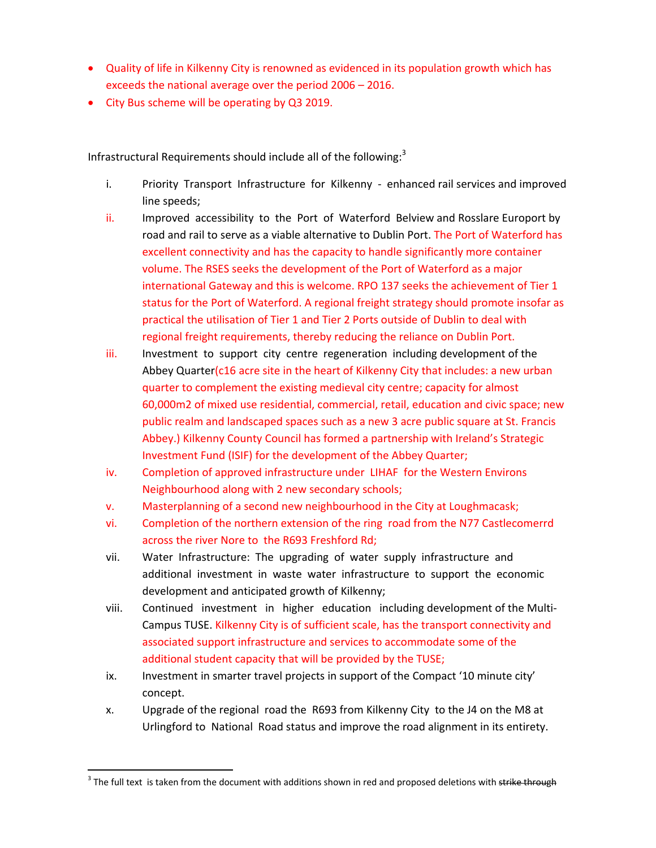- Quality of life in Kilkenny City is renowned as evidenced in its population growth which has exceeds the national average over the period 2006 – 2016.
- City Bus scheme will be operating by Q3 2019.

Infrastructural Requirements should include all of the following: $3$ 

- i. Priority Transport Infrastructure for Kilkenny enhanced rail services and improved line speeds;
- ii. Improved accessibility to the Port of Waterford Belview and Rosslare Europort by road and rail to serve as a viable alternative to Dublin Port. The Port of Waterford has excellent connectivity and has the capacity to handle significantly more container volume. The RSES seeks the development of the Port of Waterford as a major international Gateway and this is welcome. RPO 137 seeks the achievement of Tier 1 status for the Port of Waterford. A regional freight strategy should promote insofar as practical the utilisation of Tier 1 and Tier 2 Ports outside of Dublin to deal with regional freight requirements, thereby reducing the reliance on Dublin Port.
- iii. Investment to support city centre regeneration including development of the Abbey Quarter(c16 acre site in the heart of Kilkenny City that includes: a new urban quarter to complement the existing medieval city centre; capacity for almost 60,000m2 of mixed use residential, commercial, retail, education and civic space; new public realm and landscaped spaces such as a new 3 acre public square at St. Francis Abbey.) Kilkenny County Council has formed a partnership with Ireland's Strategic Investment Fund (ISIF) for the development of the Abbey Quarter;
- iv. Completion of approved infrastructure under LIHAF for the Western Environs Neighbourhood along with 2 new secondary schools;
- v. Masterplanning of a second new neighbourhood in the City at Loughmacask;
- vi. Completion of the northern extension of the ring road from the N77 Castlecomerrd across the river Nore to the R693 Freshford Rd;
- vii. Water Infrastructure: The upgrading of water supply infrastructure and additional investment in waste water infrastructure to support the economic development and anticipated growth of Kilkenny;
- viii. Continued investment in higher education including development of the Multi-Campus TUSE. Kilkenny City is of sufficient scale, has the transport connectivity and associated support infrastructure and services to accommodate some of the additional student capacity that will be provided by the TUSE;
- ix. Investment in smarter travel projects in support of the Compact '10 minute city' concept.
- x. Upgrade of the regional road the R693 from Kilkenny City to the J4 on the M8 at Urlingford to National Road status and improve the road alignment in its entirety.

<sup>&</sup>lt;sup>3</sup> The full text is taken from the document with additions shown in red and proposed deletions with strike through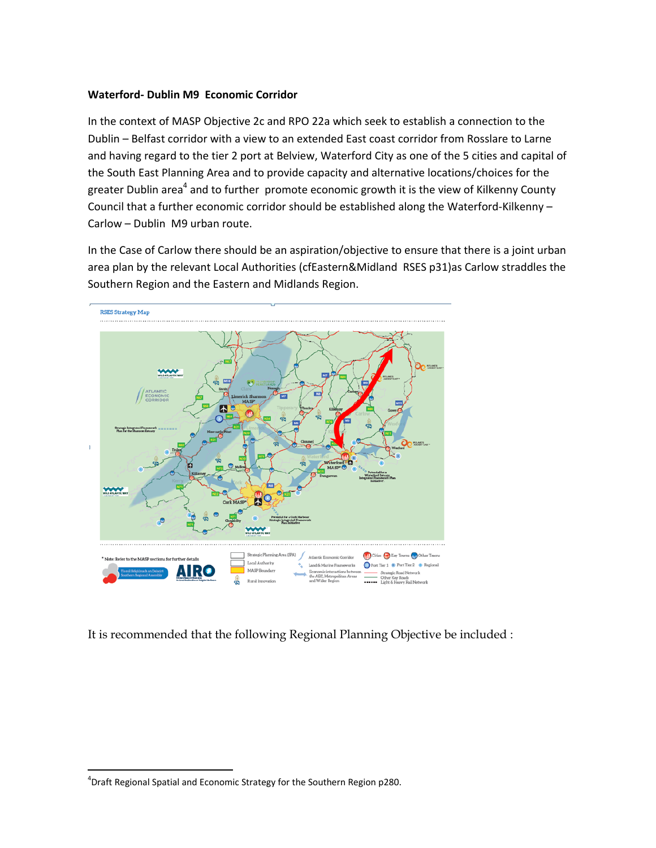### **Waterford‐ Dublin M9 Economic Corridor**

In the context of MASP Objective 2c and RPO 22a which seek to establish a connection to the Dublin – Belfast corridor with a view to an extended East coast corridor from Rosslare to Larne and having regard to the tier 2 port at Belview, Waterford City as one of the 5 cities and capital of the South East Planning Area and to provide capacity and alternative locations/choices for the greater Dublin area<sup>4</sup> and to further promote economic growth it is the view of Kilkenny County Council that a further economic corridor should be established along the Waterford‐Kilkenny – Carlow – Dublin M9 urban route.

In the Case of Carlow there should be an aspiration/objective to ensure that there is a joint urban area plan by the relevant Local Authorities (cfEastern&Midland RSES p31)as Carlow straddles the Southern Region and the Eastern and Midlands Region.



It is recommended that the following Regional Planning Objective be included :

<sup>4</sup> Draft Regional Spatial and Economic Strategy for the Southern Region p280.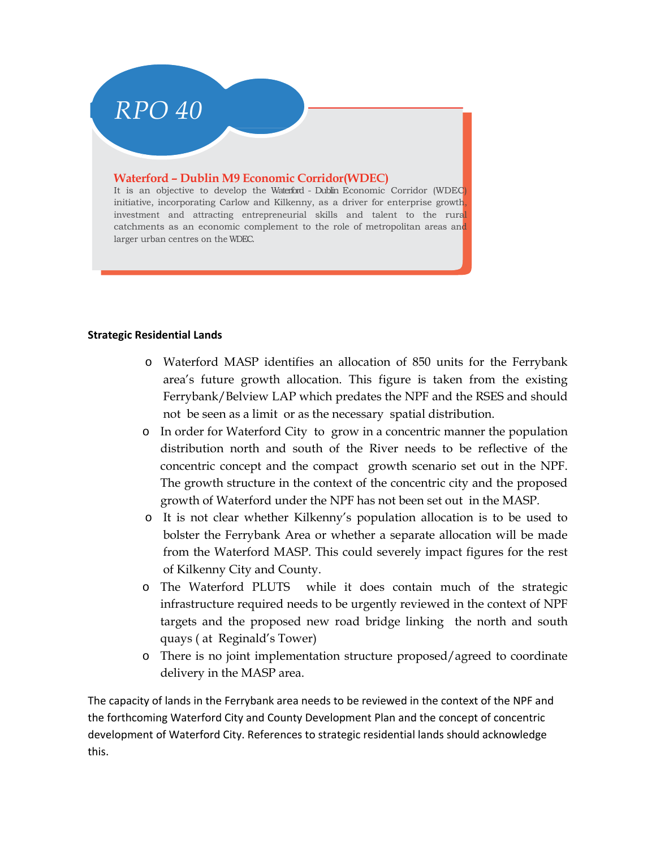# *RPO 40*

### **Waterford – Dublin M9 Economic Corridor(WDEC)**

It is an objective to develop the Waterford - Dublin Economic Corridor (WDEC) initiative, incorporating Carlow and Kilkenny, as a driver for enterprise growth, investment and attracting entrepreneurial skills and talent to the rural catchments as an economic complement to the role of metropolitan areas and larger urban centres on the WDEC.

### **Strategic Residential Lands**

- o Waterford MASP identifies an allocation of 850 units for the Ferrybank area's future growth allocation. This figure is taken from the existing Ferrybank/Belview LAP which predates the NPF and the RSES and should not be seen as a limit or as the necessary spatial distribution.
- o In order for Waterford City to grow in a concentric manner the population distribution north and south of the River needs to be reflective of the concentric concept and the compact growth scenario set out in the NPF. The growth structure in the context of the concentric city and the proposed growth of Waterford under the NPF has not been set out in the MASP.
- o It is not clear whether Kilkenny's population allocation is to be used to bolster the Ferrybank Area or whether a separate allocation will be made from the Waterford MASP. This could severely impact figures for the rest of Kilkenny City and County.
- o The Waterford PLUTS while it does contain much of the strategic infrastructure required needs to be urgently reviewed in the context of NPF targets and the proposed new road bridge linking the north and south quays ( at Reginald's Tower)
- o There is no joint implementation structure proposed/agreed to coordinate delivery in the MASP area.

The capacity of lands in the Ferrybank area needs to be reviewed in the context of the NPF and the forthcoming Waterford City and County Development Plan and the concept of concentric development of Waterford City. References to strategic residential lands should acknowledge this.